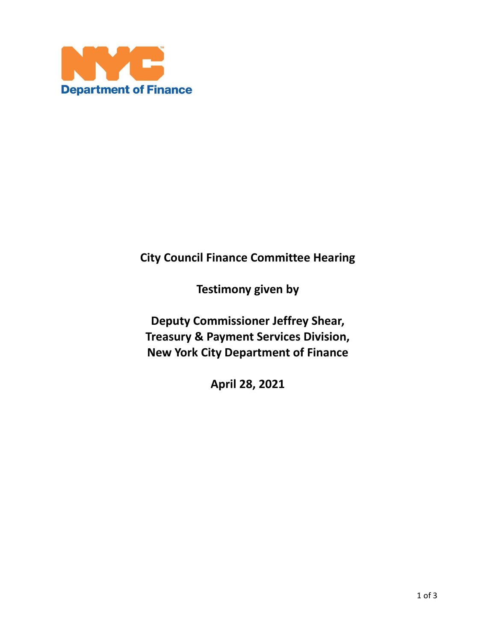

# **City Council Finance Committee Hearing**

**Testimony given by** 

**Deputy Commissioner Jeffrey Shear, Treasury & Payment Services Division, New York City Department of Finance**

**April 28, 2021**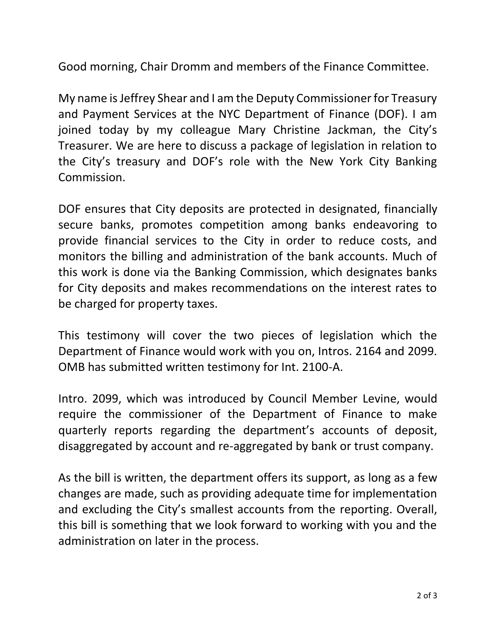Good morning, Chair Dromm and members of the Finance Committee.

My name is Jeffrey Shear and I am the Deputy Commissioner for Treasury and Payment Services at the NYC Department of Finance (DOF). I am joined today by my colleague Mary Christine Jackman, the City's Treasurer. We are here to discuss a package of legislation in relation to the City's treasury and DOF's role with the New York City Banking Commission.

DOF ensures that City deposits are protected in designated, financially secure banks, promotes competition among banks endeavoring to provide financial services to the City in order to reduce costs, and monitors the billing and administration of the bank accounts. Much of this work is done via the Banking Commission, which designates banks for City deposits and makes recommendations on the interest rates to be charged for property taxes.

This testimony will cover the two pieces of legislation which the Department of Finance would work with you on, Intros. 2164 and 2099. OMB has submitted written testimony for Int. 2100-A.

Intro. 2099, which was introduced by Council Member Levine, would require the commissioner of the Department of Finance to make quarterly reports regarding the department's accounts of deposit, disaggregated by account and re-aggregated by bank or trust company.

As the bill is written, the department offers its support, as long as a few changes are made, such as providing adequate time for implementation and excluding the City's smallest accounts from the reporting. Overall, this bill is something that we look forward to working with you and the administration on later in the process.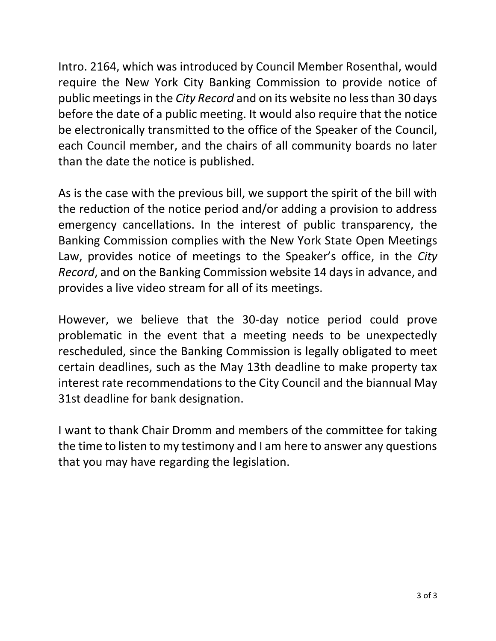Intro. 2164, which was introduced by Council Member Rosenthal, would require the New York City Banking Commission to provide notice of public meetings in the *City Record* and on its website no less than 30 days before the date of a public meeting. It would also require that the notice be electronically transmitted to the office of the Speaker of the Council, each Council member, and the chairs of all community boards no later than the date the notice is published.

As is the case with the previous bill, we support the spirit of the bill with the reduction of the notice period and/or adding a provision to address emergency cancellations. In the interest of public transparency, the Banking Commission complies with the New York State Open Meetings Law, provides notice of meetings to the Speaker's office, in the *City Record*, and on the Banking Commission website 14 days in advance, and provides a live video stream for all of its meetings.

However, we believe that the 30-day notice period could prove problematic in the event that a meeting needs to be unexpectedly rescheduled, since the Banking Commission is legally obligated to meet certain deadlines, such as the May 13th deadline to make property tax interest rate recommendations to the City Council and the biannual May 31st deadline for bank designation.

I want to thank Chair Dromm and members of the committee for taking the time to listen to my testimony and I am here to answer any questions that you may have regarding the legislation.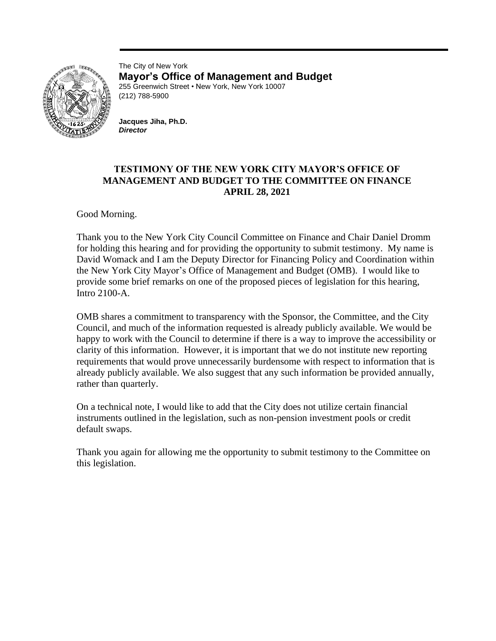

The City of New York **Mayor's Office of Management and Budget** 255 Greenwich Street • New York, New York 10007 (212) 788-5900

**Jacques Jiha, Ph.D.** *Director*

### **TESTIMONY OF THE NEW YORK CITY MAYOR'S OFFICE OF MANAGEMENT AND BUDGET TO THE COMMITTEE ON FINANCE APRIL 28, 2021**

Good Morning.

Thank you to the New York City Council Committee on Finance and Chair Daniel Dromm for holding this hearing and for providing the opportunity to submit testimony. My name is David Womack and I am the Deputy Director for Financing Policy and Coordination within the New York City Mayor's Office of Management and Budget (OMB). I would like to provide some brief remarks on one of the proposed pieces of legislation for this hearing, Intro 2100-A.

OMB shares a commitment to transparency with the Sponsor, the Committee, and the City Council, and much of the information requested is already publicly available. We would be happy to work with the Council to determine if there is a way to improve the accessibility or clarity of this information. However, it is important that we do not institute new reporting requirements that would prove unnecessarily burdensome with respect to information that is already publicly available. We also suggest that any such information be provided annually, rather than quarterly.

On a technical note, I would like to add that the City does not utilize certain financial instruments outlined in the legislation, such as non-pension investment pools or credit default swaps.

Thank you again for allowing me the opportunity to submit testimony to the Committee on this legislation.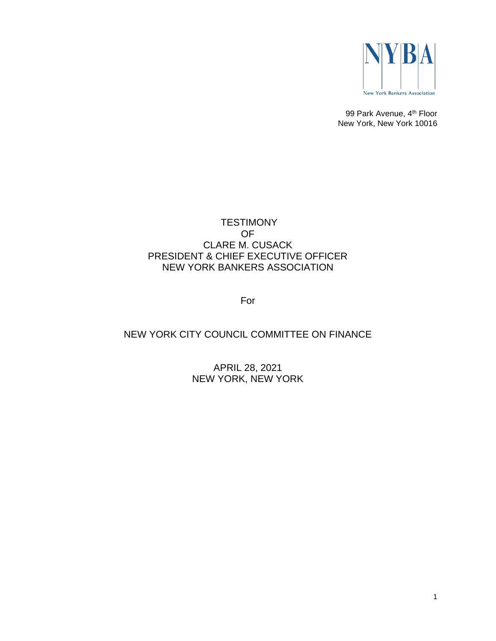

99 Park Avenue, 4<sup>th</sup> Floor New York, New York 10016

### **TESTIMONY** OF CLARE M. CUSACK PRESIDENT & CHIEF EXECUTIVE OFFICER NEW YORK BANKERS ASSOCIATION

For

## NEW YORK CITY COUNCIL COMMITTEE ON FINANCE

APRIL 28, 2021 NEW YORK, NEW YORK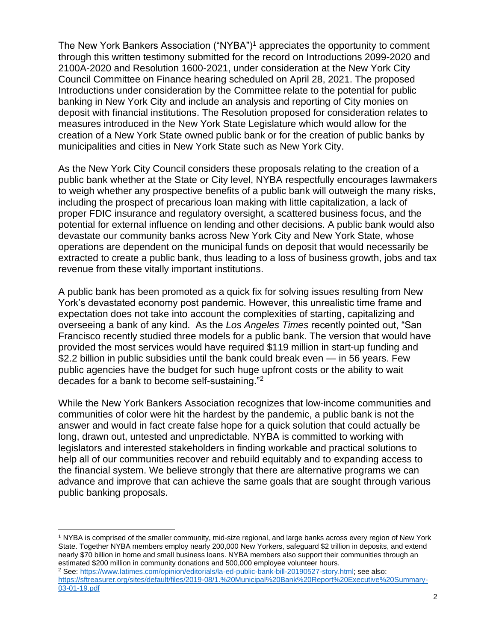The New York Bankers Association ("NYBA")<sup>1</sup> appreciates the opportunity to comment through this written testimony submitted for the record on Introductions 2099-2020 and 2100A-2020 and Resolution 1600-2021, under consideration at the New York City Council Committee on Finance hearing scheduled on April 28, 2021. The proposed Introductions under consideration by the Committee relate to the potential for public banking in New York City and include an analysis and reporting of City monies on deposit with financial institutions. The Resolution proposed for consideration relates to measures introduced in the New York State Legislature which would allow for the creation of a New York State owned public bank or for the creation of public banks by municipalities and cities in New York State such as New York City.

As the New York City Council considers these proposals relating to the creation of a public bank whether at the State or City level, NYBA respectfully encourages lawmakers to weigh whether any prospective benefits of a public bank will outweigh the many risks, including the prospect of precarious loan making with little capitalization, a lack of proper FDIC insurance and regulatory oversight, a scattered business focus, and the potential for external influence on lending and other decisions. A public bank would also devastate our community banks across New York City and New York State, whose operations are dependent on the municipal funds on deposit that would necessarily be extracted to create a public bank, thus leading to a loss of business growth, jobs and tax revenue from these vitally important institutions.

A public bank has been promoted as a quick fix for solving issues resulting from New York's devastated economy post pandemic. However, this unrealistic time frame and expectation does not take into account the complexities of starting, capitalizing and overseeing a bank of any kind. As the *Los Angeles Times* recently pointed out, "San Francisco recently studied three models for a public bank. The version that would have provided the most services would have required \$119 million in start-up funding and \$2.2 billion in public subsidies until the bank could break even — in 56 years. Few public agencies have the budget for such huge upfront costs or the ability to wait decades for a bank to become self-sustaining."<sup>2</sup>

While the New York Bankers Association recognizes that low-income communities and communities of color were hit the hardest by the pandemic, a public bank is not the answer and would in fact create false hope for a quick solution that could actually be long, drawn out, untested and unpredictable. NYBA is committed to working with legislators and interested stakeholders in finding workable and practical solutions to help all of our communities recover and rebuild equitably and to expanding access to the financial system. We believe strongly that there are alternative programs we can advance and improve that can achieve the same goals that are sought through various public banking proposals.

<sup>&</sup>lt;sup>1</sup> NYBA is comprised of the smaller community, mid-size regional, and large banks across every region of New York State. Together NYBA members employ nearly 200,000 New Yorkers, safeguard \$2 trillion in deposits, and extend nearly \$70 billion in home and small business loans. NYBA members also support their communities through an estimated \$200 million in community donations and 500,000 employee volunteer hours.

<sup>2</sup> See: [https://www.latimes.com/opinion/editorials/la-ed-public-bank-bill-20190527-story.html;](https://www.latimes.com/opinion/editorials/la-ed-public-bank-bill-20190527-story.html) see also: [https://sftreasurer.org/sites/default/files/2019-08/1.%20Municipal%20Bank%20Report%20Executive%20Summary-](https://sftreasurer.org/sites/default/files/2019-08/1.%20Municipal%20Bank%20Report%20Executive%20Summary-03-01-19.pdf)[03-01-19.pdf](https://sftreasurer.org/sites/default/files/2019-08/1.%20Municipal%20Bank%20Report%20Executive%20Summary-03-01-19.pdf)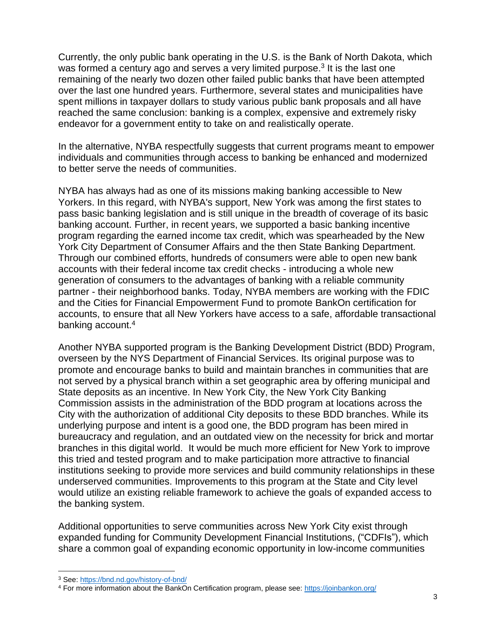Currently, the only public bank operating in the U.S. is the Bank of North Dakota, which was formed a century ago and serves a very limited purpose.<sup>3</sup> It is the last one remaining of the nearly two dozen other failed public banks that have been attempted over the last one hundred years. Furthermore, several states and municipalities have spent millions in taxpayer dollars to study various public bank proposals and all have reached the same conclusion: banking is a complex, expensive and extremely risky endeavor for a government entity to take on and realistically operate.

In the alternative, NYBA respectfully suggests that current programs meant to empower individuals and communities through access to banking be enhanced and modernized to better serve the needs of communities.

NYBA has always had as one of its missions making banking accessible to New Yorkers. In this regard, with NYBA's support, New York was among the first states to pass basic banking legislation and is still unique in the breadth of coverage of its basic banking account. Further, in recent years, we supported a basic banking incentive program regarding the earned income tax credit, which was spearheaded by the New York City Department of Consumer Affairs and the then State Banking Department. Through our combined efforts, hundreds of consumers were able to open new bank accounts with their federal income tax credit checks - introducing a whole new generation of consumers to the advantages of banking with a reliable community partner - their neighborhood banks. Today, NYBA members are working with the FDIC and the Cities for Financial Empowerment Fund to promote BankOn certification for accounts, to ensure that all New Yorkers have access to a safe, affordable transactional banking account.<sup>4</sup>

Another NYBA supported program is the Banking Development District (BDD) Program, overseen by the NYS Department of Financial Services. Its original purpose was to promote and encourage banks to build and maintain branches in communities that are not served by a physical branch within a set geographic area by offering municipal and State deposits as an incentive. In New York City, the New York City Banking Commission assists in the administration of the BDD program at locations across the City with the authorization of additional City deposits to these BDD branches. While its underlying purpose and intent is a good one, the BDD program has been mired in bureaucracy and regulation, and an outdated view on the necessity for brick and mortar branches in this digital world. It would be much more efficient for New York to improve this tried and tested program and to make participation more attractive to financial institutions seeking to provide more services and build community relationships in these underserved communities. Improvements to this program at the State and City level would utilize an existing reliable framework to achieve the goals of expanded access to the banking system.

Additional opportunities to serve communities across New York City exist through expanded funding for Community Development Financial Institutions, ("CDFIs"), which share a common goal of expanding economic opportunity in low-income communities

<sup>3</sup> See:<https://bnd.nd.gov/history-of-bnd/>

<sup>4</sup> For more information about the BankOn Certification program, please see:<https://joinbankon.org/>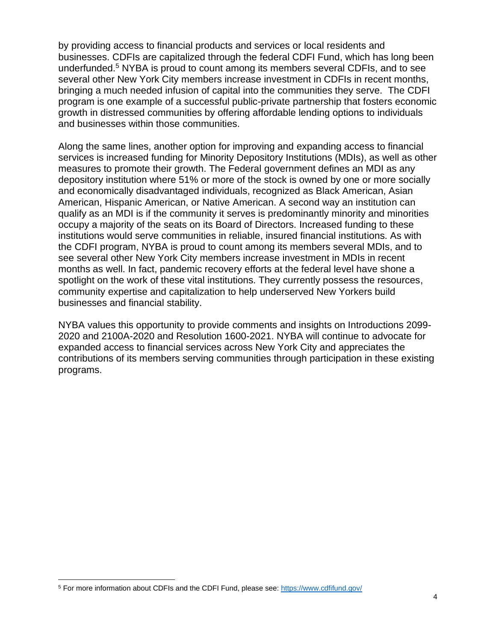by providing access to financial products and services or local residents and businesses. CDFIs are capitalized through the federal CDFI Fund, which has long been underfunded.<sup>5</sup> NYBA is proud to count among its members several CDFIs, and to see several other New York City members increase investment in CDFIs in recent months, bringing a much needed infusion of capital into the communities they serve. The CDFI program is one example of a successful public-private partnership that fosters economic growth in distressed communities by offering affordable lending options to individuals and businesses within those communities.

Along the same lines, another option for improving and expanding access to financial services is increased funding for Minority Depository Institutions (MDIs), as well as other measures to promote their growth. The Federal government defines an MDI as any depository institution where 51% or more of the stock is owned by one or more socially and economically disadvantaged individuals, recognized as Black American, Asian American, Hispanic American, or Native American. A second way an institution can qualify as an MDI is if the community it serves is predominantly minority and minorities occupy a majority of the seats on its Board of Directors. Increased funding to these institutions would serve communities in reliable, insured financial institutions. As with the CDFI program, NYBA is proud to count among its members several MDIs, and to see several other New York City members increase investment in MDIs in recent months as well. In fact, pandemic recovery efforts at the federal level have shone a spotlight on the work of these vital institutions. They currently possess the resources, community expertise and capitalization to help underserved New Yorkers build businesses and financial stability.

NYBA values this opportunity to provide comments and insights on Introductions 2099- 2020 and 2100A-2020 and Resolution 1600-2021. NYBA will continue to advocate for expanded access to financial services across New York City and appreciates the contributions of its members serving communities through participation in these existing programs.

<sup>5</sup> For more information about CDFIs and the CDFI Fund, please see:<https://www.cdfifund.gov/>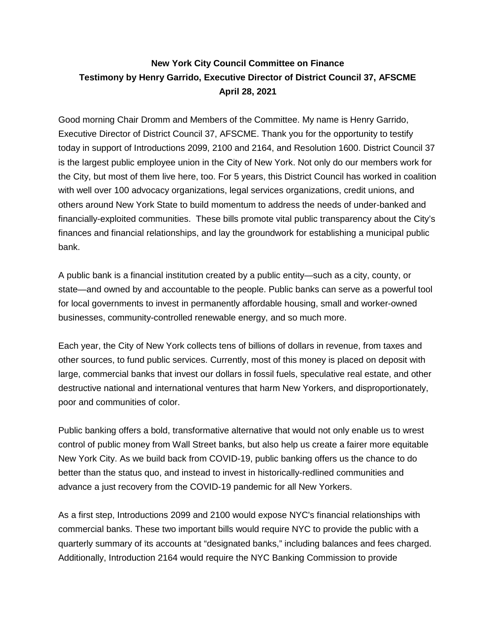# **New York City Council Committee on Finance Testimony by Henry Garrido, Executive Director of District Council 37, AFSCME April 28, 2021**

Good morning Chair Dromm and Members of the Committee. My name is Henry Garrido, Executive Director of District Council 37, AFSCME. Thank you for the opportunity to testify today in support of Introductions 2099, 2100 and 2164, and Resolution 1600. District Council 37 is the largest public employee union in the City of New York. Not only do our members work for the City, but most of them live here, too. For 5 years, this District Council has worked in coalition with well over 100 advocacy organizations, legal services organizations, credit unions, and others around New York State to build momentum to address the needs of under-banked and financially-exploited communities. These bills promote vital public transparency about the City's finances and financial relationships, and lay the groundwork for establishing a municipal public bank.

A public bank is a financial institution created by a public entity—such as a city, county, or state—and owned by and accountable to the people. Public banks can serve as a powerful tool for local governments to invest in permanently affordable housing, small and worker-owned businesses, community-controlled renewable energy, and so much more.

Each year, the City of New York collects tens of billions of dollars in revenue, from taxes and other sources, to fund public services. Currently, most of this money is placed on deposit with large, commercial banks that invest our dollars in fossil fuels, speculative real estate, and other destructive national and international ventures that harm New Yorkers, and disproportionately, poor and communities of color.

Public banking offers a bold, transformative alternative that would not only enable us to wrest control of public money from Wall Street banks, but also help us create a fairer more equitable New York City. As we build back from COVID-19, public banking offers us the chance to do better than the status quo, and instead to invest in historically-redlined communities and advance a just recovery from the COVID-19 pandemic for all New Yorkers.

As a first step, Introductions 2099 and 2100 would expose NYC's financial relationships with commercial banks. These two important bills would require NYC to provide the public with a quarterly summary of its accounts at "designated banks," including balances and fees charged. Additionally, Introduction 2164 would require the NYC Banking Commission to provide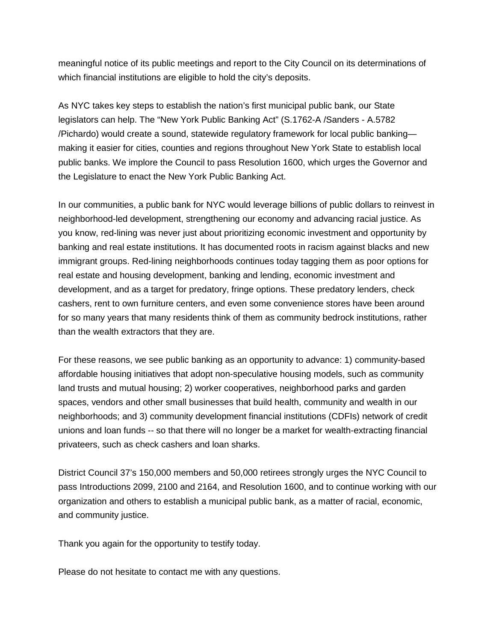meaningful notice of its public meetings and report to the City Council on its determinations of which financial institutions are eligible to hold the city's deposits.

As NYC takes key steps to establish the nation's first municipal public bank, our State legislators can help. The "New York Public Banking Act" (S.1762-A /Sanders - A.5782 /Pichardo) would create a sound, statewide regulatory framework for local public banking making it easier for cities, counties and regions throughout New York State to establish local public banks. We implore the Council to pass Resolution 1600, which urges the Governor and the Legislature to enact the New York Public Banking Act.

In our communities, a public bank for NYC would leverage billions of public dollars to reinvest in neighborhood-led development, strengthening our economy and advancing racial justice. As you know, red-lining was never just about prioritizing economic investment and opportunity by banking and real estate institutions. It has documented roots in racism against blacks and new immigrant groups. Red-lining neighborhoods continues today tagging them as poor options for real estate and housing development, banking and lending, economic investment and development, and as a target for predatory, fringe options. These predatory lenders, check cashers, rent to own furniture centers, and even some convenience stores have been around for so many years that many residents think of them as community bedrock institutions, rather than the wealth extractors that they are.

For these reasons, we see public banking as an opportunity to advance: 1) community-based affordable housing initiatives that adopt non-speculative housing models, such as community land trusts and mutual housing; 2) worker cooperatives, neighborhood parks and garden spaces, vendors and other small businesses that build health, community and wealth in our neighborhoods; and 3) community development financial institutions (CDFIs) network of credit unions and loan funds -- so that there will no longer be a market for wealth-extracting financial privateers, such as check cashers and loan sharks.

District Council 37's 150,000 members and 50,000 retirees strongly urges the NYC Council to pass Introductions 2099, 2100 and 2164, and Resolution 1600, and to continue working with our organization and others to establish a municipal public bank, as a matter of racial, economic, and community justice.

Thank you again for the opportunity to testify today.

Please do not hesitate to contact me with any questions.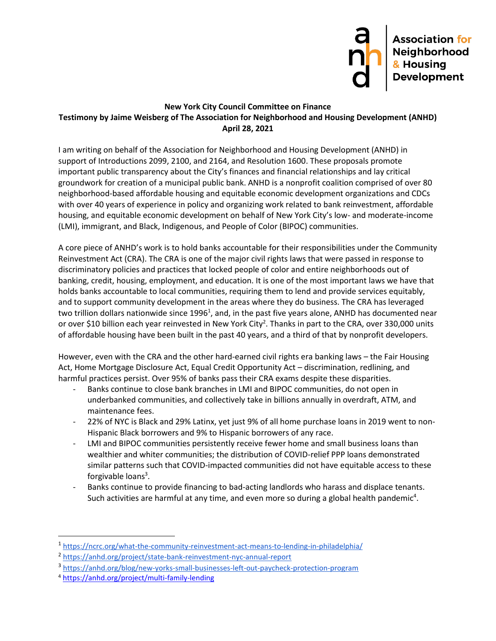

#### **New York City Council Committee on Finance Testimony by Jaime Weisberg of The Association for Neighborhood and Housing Development (ANHD) April 28, 2021**

I am writing on behalf of the Association for Neighborhood and Housing Development (ANHD) in support of Introductions 2099, 2100, and 2164, and Resolution 1600. These proposals promote important public transparency about the City's finances and financial relationships and lay critical groundwork for creation of a municipal public bank. ANHD is a nonprofit coalition comprised of over 80 neighborhood-based affordable housing and equitable economic development organizations and CDCs with over 40 years of experience in policy and organizing work related to bank reinvestment, affordable housing, and equitable economic development on behalf of New York City's low- and moderate-income (LMI), immigrant, and Black, Indigenous, and People of Color (BIPOC) communities.

A core piece of ANHD's work is to hold banks accountable for their responsibilities under the Community Reinvestment Act (CRA). The CRA is one of the major civil rights laws that were passed in response to discriminatory policies and practices that locked people of color and entire neighborhoods out of banking, credit, housing, employment, and education. It is one of the most important laws we have that holds banks accountable to local communities, requiring them to lend and provide services equitably, and to support community development in the areas where they do business. The CRA has leveraged two trillion dollars nationwide since 1996<sup>1</sup>, and, in the past five years alone, ANHD has documented near or over \$10 billion each year reinvested in New York City<sup>2</sup>. Thanks in part to the CRA, over 330,000 units of affordable housing have been built in the past 40 years, and a third of that by nonprofit developers.

However, even with the CRA and the other hard-earned civil rights era banking laws – the Fair Housing Act, Home Mortgage Disclosure Act, Equal Credit Opportunity Act – discrimination, redlining, and harmful practices persist. Over 95% of banks pass their CRA exams despite these disparities.

- Banks continue to close bank branches in LMI and BIPOC communities, do not open in underbanked communities, and collectively take in billions annually in overdraft, ATM, and maintenance fees.
- 22% of NYC is Black and 29% Latinx, yet just 9% of all home purchase loans in 2019 went to non-Hispanic Black borrowers and 9% to Hispanic borrowers of any race.
- LMI and BIPOC communities persistently receive fewer home and small business loans than wealthier and whiter communities; the distribution of COVID-relief PPP loans demonstrated similar patterns such that COVID-impacted communities did not have equitable access to these forgivable loans<sup>3</sup>.
- Banks continue to provide financing to bad-acting landlords who harass and displace tenants. Such activities are harmful at any time, and even more so during a global health pandemic<sup>4</sup>.

<sup>&</sup>lt;sup>1</sup> <https://ncrc.org/what-the-community-reinvestment-act-means-to-lending-in-philadelphia/>

<sup>2</sup> <https://anhd.org/project/state-bank-reinvestment-nyc-annual-report>

<sup>&</sup>lt;sup>3</sup> <https://anhd.org/blog/new-yorks-small-businesses-left-out-paycheck-protection-program>

<sup>4</sup> <https://anhd.org/project/multi-family-lending>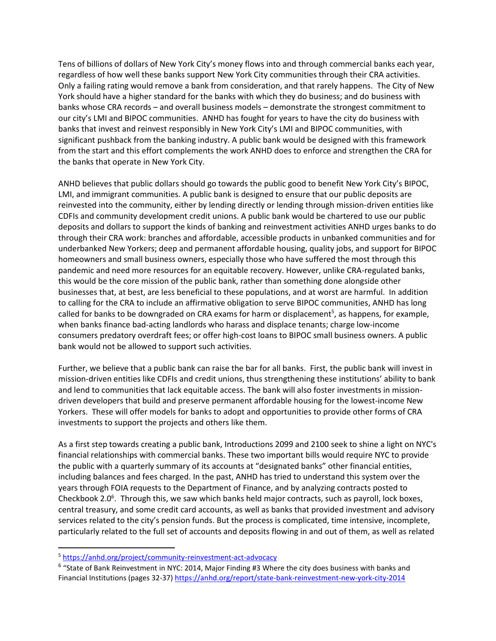Tens of billions of dollars of New York City's money flows into and through commercial banks each year, regardless of how well these banks support New York City communities through their CRA activities. Only a failing rating would remove a bank from consideration, and that rarely happens. The City of New York should have a higher standard for the banks with which they do business; and do business with banks whose CRA records – and overall business models – demonstrate the strongest commitment to our city's LMI and BIPOC communities. ANHD has fought for years to have the city do business with banks that invest and reinvest responsibly in New York City's LMI and BIPOC communities, with significant pushback from the banking industry. A public bank would be designed with this framework from the start and this effort complements the work ANHD does to enforce and strengthen the CRA for the banks that operate in New York City.

ANHD believes that public dollars should go towards the public good to benefit New York City's BIPOC, LMI, and immigrant communities. A public bank is designed to ensure that our public deposits are reinvested into the community, either by lending directly or lending through mission-driven entities like CDFIs and community development credit unions. A public bank would be chartered to use our public deposits and dollars to support the kinds of banking and reinvestment activities ANHD urges banks to do through their CRA work: branches and affordable, accessible products in unbanked communities and for underbanked New Yorkers; deep and permanent affordable housing, quality jobs, and support for BIPOC homeowners and small business owners, especially those who have suffered the most through this pandemic and need more resources for an equitable recovery. However, unlike CRA-regulated banks, this would be the core mission of the public bank, rather than something done alongside other businesses that, at best, are less beneficial to these populations, and at worst are harmful. In addition to calling for the CRA to include an affirmative obligation to serve BIPOC communities, ANHD has long called for banks to be downgraded on CRA exams for harm or displacement<sup>5</sup>, as happens, for example, when banks finance bad-acting landlords who harass and displace tenants; charge low-income consumers predatory overdraft fees; or offer high-cost loans to BIPOC small business owners. A public bank would not be allowed to support such activities.

Further, we believe that a public bank can raise the bar for all banks. First, the public bank will invest in mission-driven entities like CDFIs and credit unions, thus strengthening these institutions' ability to bank and lend to communities that lack equitable access. The bank will also foster investments in missiondriven developers that build and preserve permanent affordable housing for the lowest-income New Yorkers. These will offer models for banks to adopt and opportunities to provide other forms of CRA investments to support the projects and others like them.

As a first step towards creating a public bank, Introductions 2099 and 2100 seek to shine a light on NYC's financial relationships with commercial banks. These two important bills would require NYC to provide the public with a quarterly summary of its accounts at "designated banks" other financial entities, including balances and fees charged. In the past, ANHD has tried to understand this system over the years through FOIA requests to the Department of Finance, and by analyzing contracts posted to Checkbook 2.0<sup>6</sup>. Through this, we saw which banks held major contracts, such as payroll, lock boxes, central treasury, and some credit card accounts, as well as banks that provided investment and advisory services related to the city's pension funds. But the process is complicated, time intensive, incomplete, particularly related to the full set of accounts and deposits flowing in and out of them, as well as related

<sup>5</sup> <https://anhd.org/project/community-reinvestment-act-advocacy>

<sup>&</sup>lt;sup>6</sup> "State of Bank Reinvestment in NYC: 2014, Major Finding #3 Where the city does business with banks and Financial Institutions (pages 32-37)<https://anhd.org/report/state-bank-reinvestment-new-york-city-2014>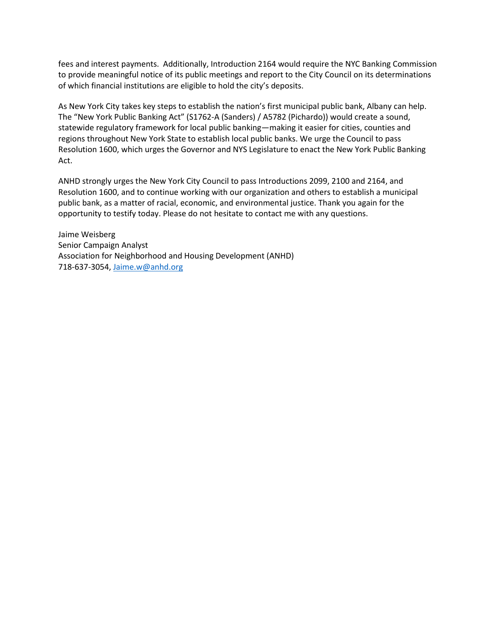fees and interest payments. Additionally, Introduction 2164 would require the NYC Banking Commission to provide meaningful notice of its public meetings and report to the City Council on its determinations of which financial institutions are eligible to hold the city's deposits.

As New York City takes key steps to establish the nation's first municipal public bank, Albany can help. The "New York Public Banking Act" (S1762-A (Sanders) / A5782 (Pichardo)) would create a sound, statewide regulatory framework for local public banking—making it easier for cities, counties and regions throughout New York State to establish local public banks. We urge the Council to pass Resolution 1600, which urges the Governor and NYS Legislature to enact the New York Public Banking Act.

ANHD strongly urges the New York City Council to pass Introductions 2099, 2100 and 2164, and Resolution 1600, and to continue working with our organization and others to establish a municipal public bank, as a matter of racial, economic, and environmental justice. Thank you again for the opportunity to testify today. Please do not hesitate to contact me with any questions.

Jaime Weisberg Senior Campaign Analyst Association for Neighborhood and Housing Development (ANHD) 718-637-3054[, Jaime.w@anhd.org](mailto:Jaime.w@anhd.org)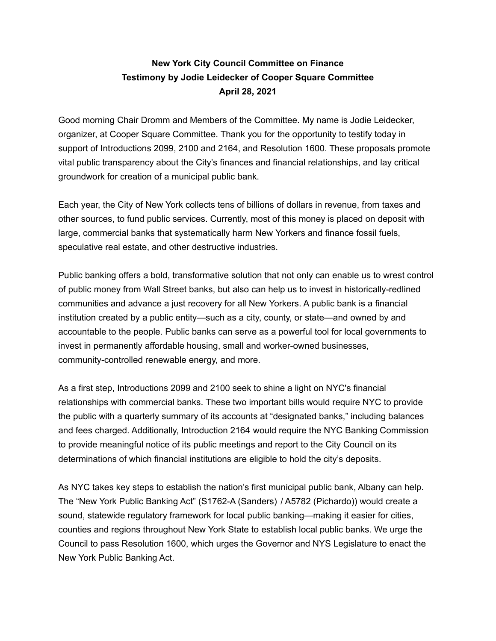## **New York City Council Committee on Finance Testimony by Jodie Leidecker of Cooper Square Committee April 28, 2021**

Good morning Chair Dromm and Members of the Committee. My name is Jodie Leidecker, organizer, at Cooper Square Committee. Thank you for the opportunity to testify today in support of Introductions 2099, 2100 and 2164, and Resolution 1600. These proposals promote vital public transparency about the City's finances and financial relationships, and lay critical groundwork for creation of a municipal public bank.

Each year, the City of New York collects tens of billions of dollars in revenue, from taxes and other sources, to fund public services. Currently, most of this money is placed on deposit with large, commercial banks that systematically harm New Yorkers and finance fossil fuels, speculative real estate, and other destructive industries.

Public banking offers a bold, transformative solution that not only can enable us to wrest control of public money from Wall Street banks, but also can help us to invest in historically-redlined communities and advance a just recovery for all New Yorkers. A public bank is a financial institution created by a public entity—such as a city, county, or state—and owned by and accountable to the people. Public banks can serve as a powerful tool for local governments to invest in permanently affordable housing, small and worker-owned businesses, community-controlled renewable energy, and more.

As a first step, Introductions 2099 and 2100 seek to shine a light on NYC's financial relationships with commercial banks. These two important bills would require NYC to provide the public with a quarterly summary of its accounts at "designated banks," including balances and fees charged. Additionally, Introduction 2164 would require the NYC Banking Commission to provide meaningful notice of its public meetings and report to the City Council on its determinations of which financial institutions are eligible to hold the city's deposits.

As NYC takes key steps to establish the nation's first municipal public bank, Albany can help. The "New York Public Banking Act" (S1762-A (Sanders) / A5782 (Pichardo)) would create a sound, statewide regulatory framework for local public banking—making it easier for cities, counties and regions throughout New York State to establish local public banks. We urge the Council to pass Resolution 1600, which urges the Governor and NYS Legislature to enact the New York Public Banking Act.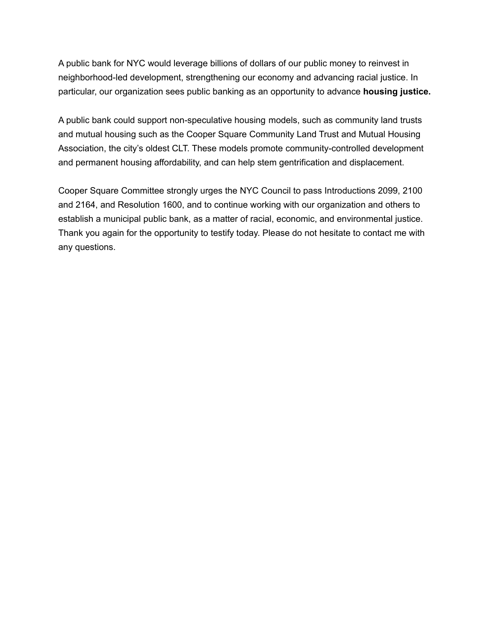A public bank for NYC would leverage billions of dollars of our public money to reinvest in neighborhood-led development, strengthening our economy and advancing racial justice. In particular, our organization sees public banking as an opportunity to advance **housing justice.**

A public bank could support non-speculative housing models, such as community land trusts and mutual housing such as the Cooper Square Community Land Trust and Mutual Housing Association, the city's oldest CLT. These models promote community-controlled development and permanent housing affordability, and can help stem gentrification and displacement.

Cooper Square Committee strongly urges the NYC Council to pass Introductions 2099, 2100 and 2164, and Resolution 1600, and to continue working with our organization and others to establish a municipal public bank, as a matter of racial, economic, and environmental justice. Thank you again for the opportunity to testify today. Please do not hesitate to contact me with any questions.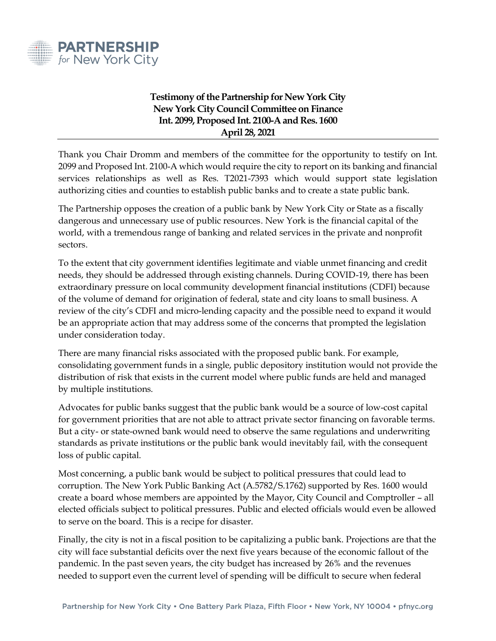

### **Testimony of the Partnership for New York City New York City Council Committee on Finance Int. 2099, Proposed Int. 2100-A and Res. 1600 April 28, 2021**

Thank you Chair Dromm and members of the committee for the opportunity to testify on Int. 2099 and Proposed Int. 2100-A which would require the city to report on its banking and financial services relationships as well as Res. T2021-7393 which would support state legislation authorizing cities and counties to establish public banks and to create a state public bank.

The Partnership opposes the creation of a public bank by New York City or State as a fiscally dangerous and unnecessary use of public resources. New York is the financial capital of the world, with a tremendous range of banking and related services in the private and nonprofit sectors.

To the extent that city government identifies legitimate and viable unmet financing and credit needs, they should be addressed through existing channels. During COVID-19, there has been extraordinary pressure on local community development financial institutions (CDFI) because of the volume of demand for origination of federal, state and city loans to small business. A review of the city's CDFI and micro-lending capacity and the possible need to expand it would be an appropriate action that may address some of the concerns that prompted the legislation under consideration today.

There are many financial risks associated with the proposed public bank. For example, consolidating government funds in a single, public depository institution would not provide the distribution of risk that exists in the current model where public funds are held and managed by multiple institutions.

Advocates for public banks suggest that the public bank would be a source of low-cost capital for government priorities that are not able to attract private sector financing on favorable terms. But a city- or state-owned bank would need to observe the same regulations and underwriting standards as private institutions or the public bank would inevitably fail, with the consequent loss of public capital.

Most concerning, a public bank would be subject to political pressures that could lead to corruption. The New York Public Banking Act (A.5782/S.1762) supported by Res. 1600 would create a board whose members are appointed by the Mayor, City Council and Comptroller – all elected officials subject to political pressures. Public and elected officials would even be allowed to serve on the board. This is a recipe for disaster.

Finally, the city is not in a fiscal position to be capitalizing a public bank. Projections are that the city will face substantial deficits over the next five years because of the economic fallout of the pandemic. In the past seven years, the city budget has increased by 26% and the revenues needed to support even the current level of spending will be difficult to secure when federal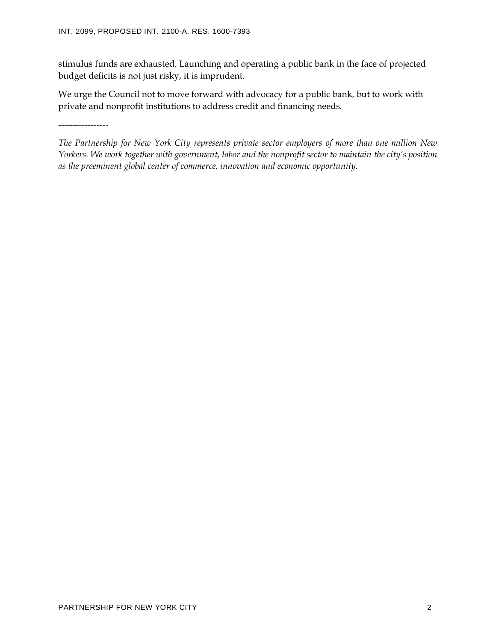stimulus funds are exhausted. Launching and operating a public bank in the face of projected budget deficits is not just risky, it is imprudent.

We urge the Council not to move forward with advocacy for a public bank, but to work with private and nonprofit institutions to address credit and financing needs.

-----------------

*The Partnership for New York City represents private sector employers of more than one million New Yorkers. We work together with government, labor and the nonprofit sector to maintain the city's position as the preeminent global center of commerce, innovation and economic opportunity.*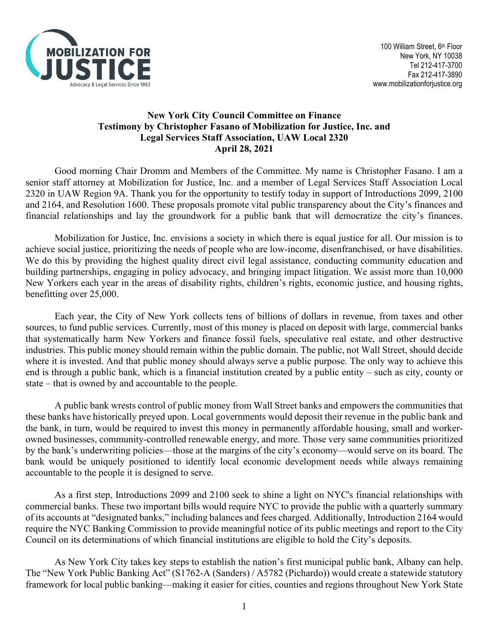

### **New York City Council Committee on Finance Testimony by Christopher Fasano of Mobilization for Justice, Inc. and Legal Services Staff Association, UAW Local 2320 April 28, 2021**

Good morning Chair Dromm and Members of the Committee. My name is Christopher Fasano. I am a senior staff attorney at Mobilization for Justice, Inc. and a member of Legal Services Staff Association Local 2320 in UAW Region 9A. Thank you for the opportunity to testify today in support of Introductions 2099, 2100 and 2164, and Resolution 1600. These proposals promote vital public transparency about the City's finances and financial relationships and lay the groundwork for a public bank that will democratize the city's finances.

Mobilization for Justice, Inc. envisions a society in which there is equal justice for all. Our mission is to achieve social justice, prioritizing the needs of people who are low-income, disenfranchised, or have disabilities. We do this by providing the highest quality direct civil legal assistance, conducting community education and building partnerships, engaging in policy advocacy, and bringing impact litigation. We assist more than 10,000 New Yorkers each year in the areas of disability rights, children's rights, economic justice, and housing rights, benefitting over 25,000.

Each year, the City of New York collects tens of billions of dollars in revenue, from taxes and other sources, to fund public services. Currently, most of this money is placed on deposit with large, commercial banks that systematically harm New Yorkers and finance fossil fuels, speculative real estate, and other destructive industries. This public money should remain within the public domain. The public, not Wall Street, should decide where it is invested. And that public money should always serve a public purpose. The only way to achieve this end is through a public bank, which is a financial institution created by a public entity – such as city, county or state – that is owned by and accountable to the people.

A public bank wrests control of public money from Wall Street banks and empowers the communities that these banks have historically preyed upon. Local governments would deposit their revenue in the public bank and the bank, in turn, would be required to invest this money in permanently affordable housing, small and workerowned businesses, community-controlled renewable energy, and more. Those very same communities prioritized by the bank's underwriting policies—those at the margins of the city's economy—would serve on its board. The bank would be uniquely positioned to identify local economic development needs while always remaining accountable to the people it is designed to serve.

As a first step, Introductions 2099 and 2100 seek to shine a light on NYC's financial relationships with commercial banks. These two important bills would require NYC to provide the public with a quarterly summary of its accounts at "designated banks," including balances and fees charged. Additionally, Introduction 2164 would require the NYC Banking Commission to provide meaningful notice of its public meetings and report to the City Council on its determinations of which financial institutions are eligible to hold the City's deposits.

As New York City takes key steps to establish the nation's first municipal public bank, Albany can help. The "New York Public Banking Act" (S1762-A (Sanders) / A5782 (Pichardo)) would create a statewide statutory framework for local public banking—making it easier for cities, counties and regions throughout New York State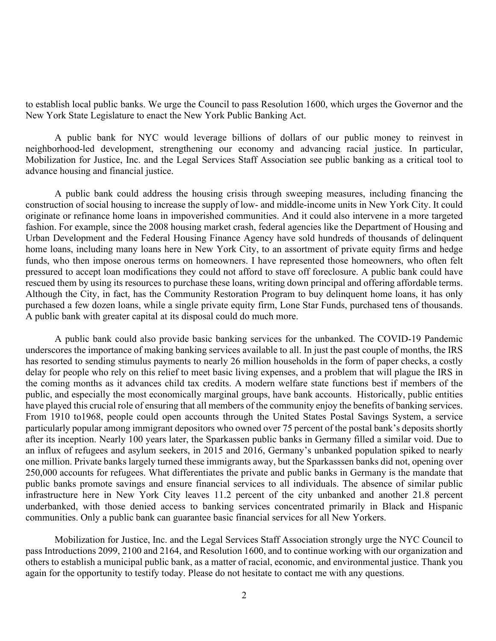to establish local public banks. We urge the Council to pass Resolution 1600, which urges the Governor and the New York State Legislature to enact the New York Public Banking Act.

A public bank for NYC would leverage billions of dollars of our public money to reinvest in neighborhood-led development, strengthening our economy and advancing racial justice. In particular, Mobilization for Justice, Inc. and the Legal Services Staff Association see public banking as a critical tool to advance housing and financial justice.

A public bank could address the housing crisis through sweeping measures, including financing the construction of social housing to increase the supply of low- and middle-income units in New York City. It could originate or refinance home loans in impoverished communities. And it could also intervene in a more targeted fashion. For example, since the 2008 housing market crash, federal agencies like the Department of Housing and Urban Development and the Federal Housing Finance Agency have sold hundreds of thousands of delinquent home loans, including many loans here in New York City, to an assortment of private equity firms and hedge funds, who then impose onerous terms on homeowners. I have represented those homeowners, who often felt pressured to accept loan modifications they could not afford to stave off foreclosure. A public bank could have rescued them by using its resources to purchase these loans, writing down principal and offering affordable terms. Although the City, in fact, has the Community Restoration Program to buy delinquent home loans, it has only purchased a few dozen loans, while a single private equity firm, Lone Star Funds, purchased tens of thousands. A public bank with greater capital at its disposal could do much more.

A public bank could also provide basic banking services for the unbanked. The COVID-19 Pandemic underscores the importance of making banking services available to all. In just the past couple of months, the IRS has resorted to sending stimulus payments to nearly 26 million households in the form of paper checks, a costly delay for people who rely on this relief to meet basic living expenses, and a problem that will plague the IRS in the coming months as it advances child tax credits. A modern welfare state functions best if members of the public, and especially the most economically marginal groups, have bank accounts. Historically, public entities have played this crucial role of ensuring that all members of the community enjoy the benefits of banking services. From 1910 to1968, people could open accounts through the United States Postal Savings System, a service particularly popular among immigrant depositors who owned over 75 percent of the postal bank's deposits shortly after its inception. Nearly 100 years later, the Sparkassen public banks in Germany filled a similar void. Due to an influx of refugees and asylum seekers, in 2015 and 2016, Germany's unbanked population spiked to nearly one million. Private banks largely turned these immigrants away, but the Sparkasssen banks did not, opening over 250,000 accounts for refugees. What differentiates the private and public banks in Germany is the mandate that public banks promote savings and ensure financial services to all individuals. The absence of similar public infrastructure here in New York City leaves 11.2 percent of the city unbanked and another 21.8 percent underbanked, with those denied access to banking services concentrated primarily in Black and Hispanic communities. Only a public bank can guarantee basic financial services for all New Yorkers.

Mobilization for Justice, Inc. and the Legal Services Staff Association strongly urge the NYC Council to pass Introductions 2099, 2100 and 2164, and Resolution 1600, and to continue working with our organization and others to establish a municipal public bank, as a matter of racial, economic, and environmental justice. Thank you again for the opportunity to testify today. Please do not hesitate to contact me with any questions.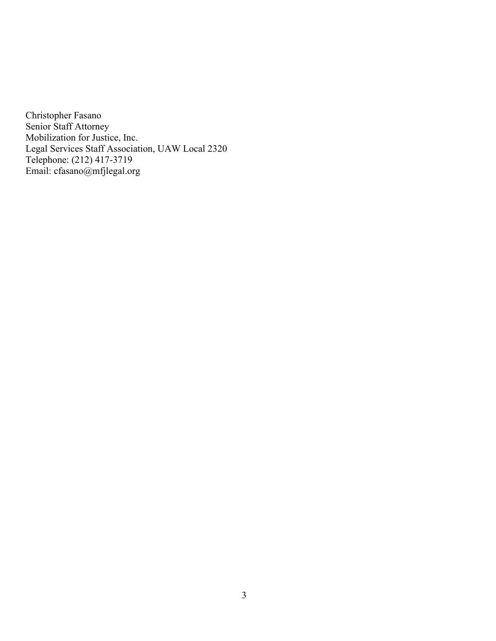Christopher Fasano Senior Staff Attorney Mobilization for Justice, Inc. Legal Services Staff Association, UAW Local 2320 Telephone: (212) 417-3719 Email: cfasano@mfjlegal.org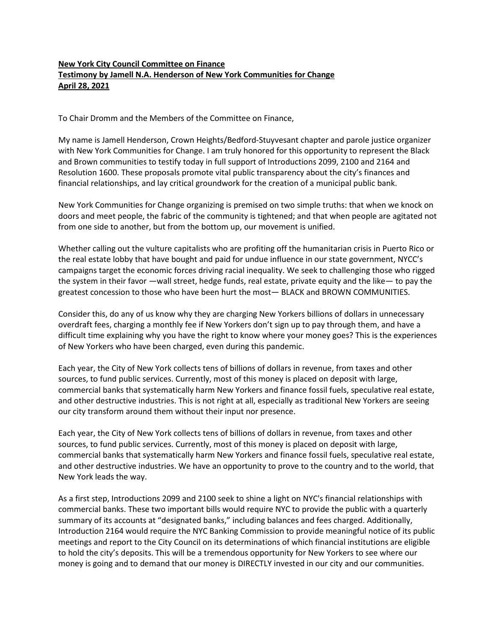#### **New York City Council Committee on Finance Testimony by Jamell N.A. Henderson of New York Communities for Change April 28, 2021**

To Chair Dromm and the Members of the Committee on Finance,

My name is Jamell Henderson, Crown Heights/Bedford-Stuyvesant chapter and parole justice organizer with New York Communities for Change. I am truly honored for this opportunity to represent the Black and Brown communities to testify today in full support of Introductions 2099, 2100 and 2164 and Resolution 1600. These proposals promote vital public transparency about the city's finances and financial relationships, and lay critical groundwork for the creation of a municipal public bank.

New York Communities for Change organizing is premised on two simple truths: that when we knock on doors and meet people, the fabric of the community is tightened; and that when people are agitated not from one side to another, but from the bottom up, our movement is unified.

Whether calling out the vulture capitalists who are profiting off the humanitarian crisis in Puerto Rico or the real estate lobby that have bought and paid for undue influence in our state government, NYCC's campaigns target the economic forces driving racial inequality. We seek to challenging those who rigged the system in their favor —wall street, hedge funds, real estate, private equity and the like— to pay the greatest concession to those who have been hurt the most— BLACK and BROWN COMMUNITIES.

Consider this, do any of us know why they are charging New Yorkers billions of dollars in unnecessary overdraft fees, charging a monthly fee if New Yorkers don't sign up to pay through them, and have a difficult time explaining why you have the right to know where your money goes? This is the experiences of New Yorkers who have been charged, even during this pandemic.

Each year, the City of New York collects tens of billions of dollars in revenue, from taxes and other sources, to fund public services. Currently, most of this money is placed on deposit with large, commercial banks that systematically harm New Yorkers and finance fossil fuels, speculative real estate, and other destructive industries. This is not right at all, especially as traditional New Yorkers are seeing our city transform around them without their input nor presence.

Each year, the City of New York collects tens of billions of dollars in revenue, from taxes and other sources, to fund public services. Currently, most of this money is placed on deposit with large, commercial banks that systematically harm New Yorkers and finance fossil fuels, speculative real estate, and other destructive industries. We have an opportunity to prove to the country and to the world, that New York leads the way.

As a first step, Introductions 2099 and 2100 seek to shine a light on NYC's financial relationships with commercial banks. These two important bills would require NYC to provide the public with a quarterly summary of its accounts at "designated banks," including balances and fees charged. Additionally, Introduction 2164 would require the NYC Banking Commission to provide meaningful notice of its public meetings and report to the City Council on its determinations of which financial institutions are eligible to hold the city's deposits. This will be a tremendous opportunity for New Yorkers to see where our money is going and to demand that our money is DIRECTLY invested in our city and our communities.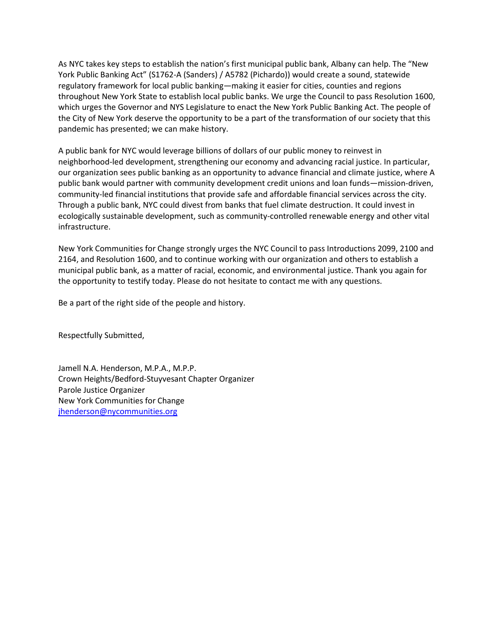As NYC takes key steps to establish the nation's first municipal public bank, Albany can help. The "New York Public Banking Act" (S1762-A (Sanders) / A5782 (Pichardo)) would create a sound, statewide regulatory framework for local public banking—making it easier for cities, counties and regions throughout New York State to establish local public banks. We urge the Council to pass Resolution 1600, which urges the Governor and NYS Legislature to enact the New York Public Banking Act. The people of the City of New York deserve the opportunity to be a part of the transformation of our society that this pandemic has presented; we can make history.

A public bank for NYC would leverage billions of dollars of our public money to reinvest in neighborhood-led development, strengthening our economy and advancing racial justice. In particular, our organization sees public banking as an opportunity to advance financial and climate justice, where A public bank would partner with community development credit unions and loan funds—mission-driven, community-led financial institutions that provide safe and affordable financial services across the city. Through a public bank, NYC could divest from banks that fuel climate destruction. It could invest in ecologically sustainable development, such as community-controlled renewable energy and other vital infrastructure.

New York Communities for Change strongly urges the NYC Council to pass Introductions 2099, 2100 and 2164, and Resolution 1600, and to continue working with our organization and others to establish a municipal public bank, as a matter of racial, economic, and environmental justice. Thank you again for the opportunity to testify today. Please do not hesitate to contact me with any questions.

Be a part of the right side of the people and history.

Respectfully Submitted,

Jamell N.A. Henderson, M.P.A., M.P.P. Crown Heights/Bedford-Stuyvesant Chapter Organizer Parole Justice Organizer New York Communities for Change jhenderson@nycommunities.org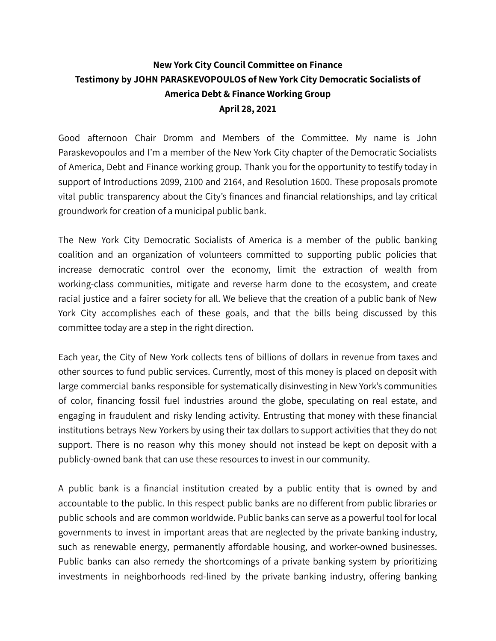# **New York City Council Committee on Finance Testimony by JOHN PARASKEVOPOULOS of New York City Democratic Socialists of America Debt & Finance Working Group April 28, 2021**

Good afternoon Chair Dromm and Members of the Committee. My name is John Paraskevopoulos and I'm a member of the New York City chapter of the Democratic Socialists of America, Debt and Finance working group. Thank you for the opportunity to testify today in support of Introductions 2099, 2100 and 2164, and Resolution 1600. These proposals promote vital public transparency about the City's finances and financial relationships, and lay critical groundwork for creation of a municipal public bank.

The New York City Democratic Socialists of America is a member of the public banking coalition and an organization of volunteers committed to supporting public policies that increase democratic control over the economy, limit the extraction of wealth from working-class communities, mitigate and reverse harm done to the ecosystem, and create racial justice and a fairer society for all. We believe that the creation of a public bank of New York City accomplishes each of these goals, and that the bills being discussed by this committee today are a step in the right direction.

Each year, the City of New York collects tens of billions of dollars in revenue from taxes and other sources to fund public services. Currently, most of this money is placed on deposit with large commercial banks responsible for systematically disinvesting in New York's communities of color, financing fossil fuel industries around the globe, speculating on real estate, and engaging in fraudulent and risky lending activity. Entrusting that money with these financial institutions betrays New Yorkers by using their tax dollars to support activities that they do not support. There is no reason why this money should not instead be kept on deposit with a publicly-owned bank that can use these resources to invest in our community.

A public bank is a financial institution created by a public entity that is owned by and accountable to the public. In this respect public banks are no different from public libraries or public schools and are common worldwide. Public banks can serve as a powerful tool for local governments to invest in important areas that are neglected by the private banking industry, such as renewable energy, permanently affordable housing, and worker-owned businesses. Public banks can also remedy the shortcomings of a private banking system by prioritizing investments in neighborhoods red-lined by the private banking industry, offering banking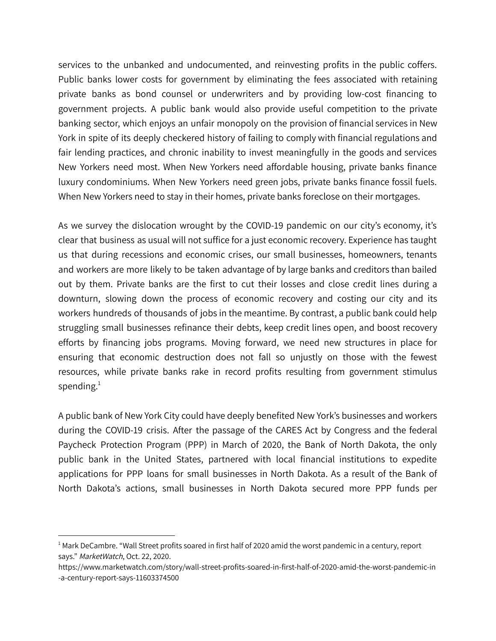services to the unbanked and undocumented, and reinvesting profits in the public coffers. Public banks lower costs for government by eliminating the fees associated with retaining private banks as bond counsel or underwriters and by providing low-cost financing to government projects. A public bank would also provide useful competition to the private banking sector, which enjoys an unfair monopoly on the provision of financial services in New York in spite of its deeply checkered history of failing to comply with financial regulations and fair lending practices, and chronic inability to invest meaningfully in the goods and services New Yorkers need most. When New Yorkers need affordable housing, private banks finance luxury condominiums. When New Yorkers need green jobs, private banks finance fossil fuels. When New Yorkers need to stay in their homes, private banks foreclose on their mortgages.

As we survey the dislocation wrought by the COVID-19 pandemic on our city's economy, it's clear that business as usual will not suffice for a just economic recovery. Experience has taught us that during recessions and economic crises, our small businesses, homeowners, tenants and workers are more likely to be taken advantage of by large banks and creditors than bailed out by them. Private banks are the first to cut their losses and close credit lines during a downturn, slowing down the process of economic recovery and costing our city and its workers hundreds of thousands of jobs in the meantime. By contrast, a public bank could help struggling small businesses refinance their debts, keep credit lines open, and boost recovery efforts by financing jobs programs. Moving forward, we need new structures in place for ensuring that economic destruction does not fall so unjustly on those with the fewest resources, while private banks rake in record profits resulting from government stimulus spending. $^1$ 

A public bank of New York City could have deeply benefited New York's businesses and workers during the COVID-19 crisis. After the passage of the CARES Act by Congress and the federal Paycheck Protection Program (PPP) in March of 2020, the Bank of North Dakota, the only public bank in the United States, partnered with local financial institutions to expedite applications for PPP loans for small businesses in North Dakota. As a result of the Bank of North Dakota's actions, small businesses in North Dakota secured more PPP funds per

 $1$  Mark DeCambre. "Wall Street profits soared in first half of 2020 amid the worst pandemic in a century, report says." MarketWatch, Oct. 22, 2020.

https://www.marketwatch.com/story/wall-street-profits-soared-in-first-half-of-2020-amid-the-worst-pandemic-in -a-century-report-says-11603374500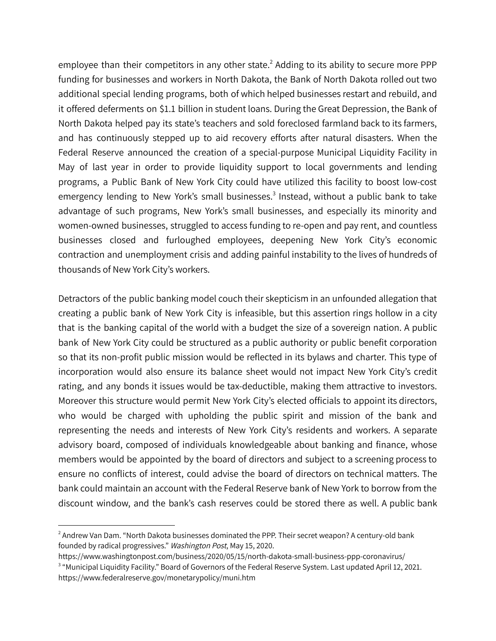employee than their competitors in any other state.<sup>2</sup> Adding to its ability to secure more PPP funding for businesses and workers in North Dakota, the Bank of North Dakota rolled out two additional special lending programs, both of which helped businesses restart and rebuild, and it offered deferments on \$1.1 billion in student loans. During the Great Depression, the Bank of North Dakota helped pay its state's teachers and sold foreclosed farmland back to its farmers, and has continuously stepped up to aid recovery efforts after natural disasters. When the Federal Reserve announced the creation of a special-purpose Municipal Liquidity Facility in May of last year in order to provide liquidity support to local governments and lending programs, a Public Bank of New York City could have utilized this facility to boost low-cost emergency lending to New York's small businesses.<sup>3</sup> Instead, without a public bank to take advantage of such programs, New York's small businesses, and especially its minority and women-owned businesses, struggled to access funding to re-open and pay rent, and countless businesses closed and furloughed employees, deepening New York City's economic contraction and unemployment crisis and adding painful instability to the lives of hundreds of thousands of New York City's workers.

Detractors of the public banking model couch their skepticism in an unfounded allegation that creating a public bank of New York City is infeasible, but this assertion rings hollow in a city that is the banking capital of the world with a budget the size of a sovereign nation. A public bank of New York City could be structured as a public authority or public benefit corporation so that its non-profit public mission would be reflected in its bylaws and charter. This type of incorporation would also ensure its balance sheet would not impact New York City's credit rating, and any bonds it issues would be tax-deductible, making them attractive to investors. Moreover this structure would permit New York City's elected officials to appoint its directors, who would be charged with upholding the public spirit and mission of the bank and representing the needs and interests of New York City's residents and workers. A separate advisory board, composed of individuals knowledgeable about banking and finance, whose members would be appointed by the board of directors and subject to a screening process to ensure no conflicts of interest, could advise the board of directors on technical matters. The bank could maintain an account with the Federal Reserve bank of New York to borrow from the discount window, and the bank's cash reserves could be stored there as well. A public bank

 $<sup>2</sup>$  Andrew Van Dam. "North Dakota businesses dominated the PPP. Their secret weapon? A century-old bank</sup> founded by radical progressives." Washington Post, May 15, 2020.

https://www.washingtonpost.com/business/2020/05/15/north-dakota-small-business-ppp-coronavirus/

<sup>&</sup>lt;sup>3</sup> "Municipal Liquidity Facility." Board of Governors of the Federal Reserve System. Last updated April 12, 2021. https://www.federalreserve.gov/monetarypolicy/muni.htm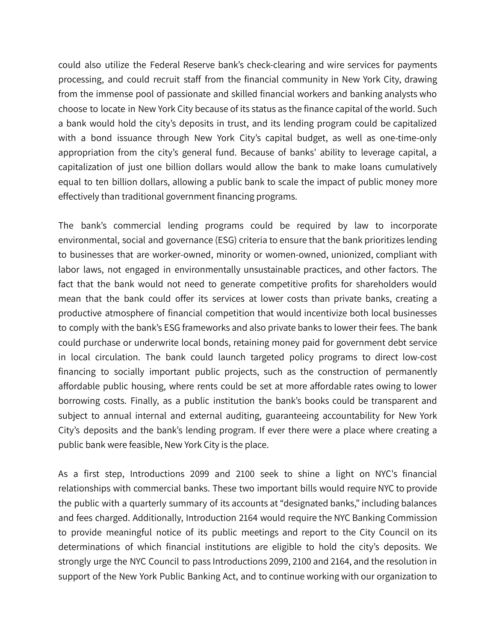could also utilize the Federal Reserve bank's check-clearing and wire services for payments processing, and could recruit staff from the financial community in New York City, drawing from the immense pool of passionate and skilled financial workers and banking analysts who choose to locate in New York City because of its status as the finance capital of the world. Such a bank would hold the city's deposits in trust, and its lending program could be capitalized with a bond issuance through New York City's capital budget, as well as one-time-only appropriation from the city's general fund. Because of banks' ability to leverage capital, a capitalization of just one billion dollars would allow the bank to make loans cumulatively equal to ten billion dollars, allowing a public bank to scale the impact of public money more effectively than traditional government financing programs.

The bank's commercial lending programs could be required by law to incorporate environmental, social and governance (ESG) criteria to ensure that the bank prioritizes lending to businesses that are worker-owned, minority or women-owned, unionized, compliant with labor laws, not engaged in environmentally unsustainable practices, and other factors. The fact that the bank would not need to generate competitive profits for shareholders would mean that the bank could offer its services at lower costs than private banks, creating a productive atmosphere of financial competition that would incentivize both local businesses to comply with the bank's ESG frameworks and also private banks to lower their fees. The bank could purchase or underwrite local bonds, retaining money paid for government debt service in local circulation. The bank could launch targeted policy programs to direct low-cost financing to socially important public projects, such as the construction of permanently affordable public housing, where rents could be set at more affordable rates owing to lower borrowing costs. Finally, as a public institution the bank's books could be transparent and subject to annual internal and external auditing, guaranteeing accountability for New York City's deposits and the bank's lending program. If ever there were a place where creating a public bank were feasible, New York City is the place.

As a first step, Introductions 2099 and 2100 seek to shine a light on NYC's financial relationships with commercial banks. These two important bills would require NYC to provide the public with a quarterly summary of its accounts at "designated banks," including balances and fees charged. Additionally, Introduction 2164 would require the NYC Banking Commission to provide meaningful notice of its public meetings and report to the City Council on its determinations of which financial institutions are eligible to hold the city's deposits. We strongly urge the NYC Council to pass Introductions 2099, 2100 and 2164, and the resolution in support of the New York Public Banking Act, and to continue working with our organization to